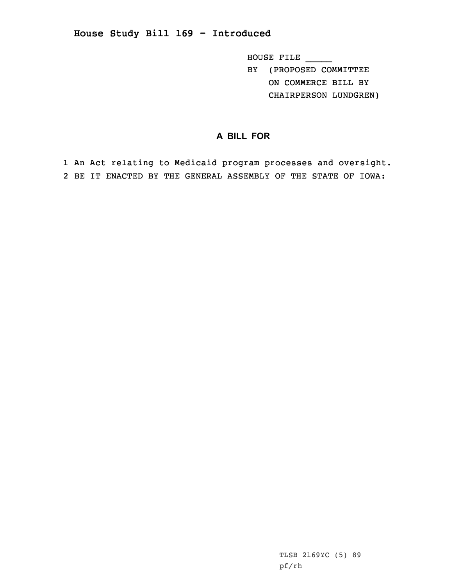**House Study Bill 169 - Introduced**

HOUSE FILE \_\_\_\_\_ BY (PROPOSED COMMITTEE ON COMMERCE BILL BY CHAIRPERSON LUNDGREN)

## **A BILL FOR**

1 An Act relating to Medicaid program processes and oversight. 2 BE IT ENACTED BY THE GENERAL ASSEMBLY OF THE STATE OF IOWA: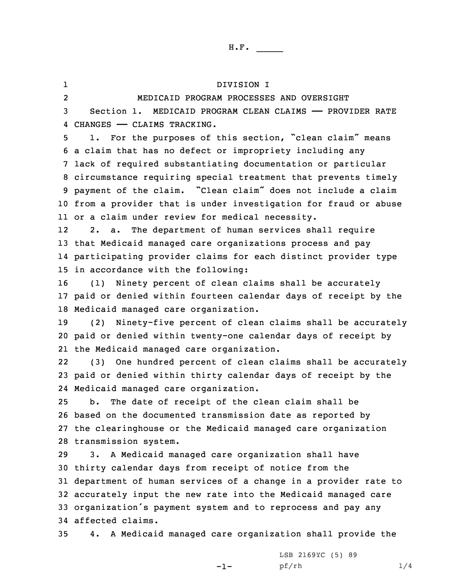1 DIVISION I 2 MEDICAID PROGRAM PROCESSES AND OVERSIGHT Section 1. MEDICAID PROGRAM CLEAN CLAIMS —— PROVIDER RATE CHANGES —— CLAIMS TRACKING. 1. For the purposes of this section, "clean claim" means <sup>a</sup> claim that has no defect or impropriety including any lack of required substantiating documentation or particular circumstance requiring special treatment that prevents timely payment of the claim. "Clean claim" does not include <sup>a</sup> claim from <sup>a</sup> provider that is under investigation for fraud or abuse or <sup>a</sup> claim under review for medical necessity. 12 2. a. The department of human services shall require that Medicaid managed care organizations process and pay participating provider claims for each distinct provider type in accordance with the following: (1) Ninety percent of clean claims shall be accurately paid or denied within fourteen calendar days of receipt by the Medicaid managed care organization. (2) Ninety-five percent of clean claims shall be accurately paid or denied within twenty-one calendar days of receipt by the Medicaid managed care organization. 22 (3) One hundred percent of clean claims shall be accurately paid or denied within thirty calendar days of receipt by the Medicaid managed care organization. b. The date of receipt of the clean claim shall be based on the documented transmission date as reported by the clearinghouse or the Medicaid managed care organization transmission system. 3. <sup>A</sup> Medicaid managed care organization shall have thirty calendar days from receipt of notice from the department of human services of <sup>a</sup> change in <sup>a</sup> provider rate to accurately input the new rate into the Medicaid managed care organization's payment system and to reprocess and pay any affected claims. 4. <sup>A</sup> Medicaid managed care organization shall provide the

 $-1-$ 

LSB 2169YC (5) 89 pf/rh 1/4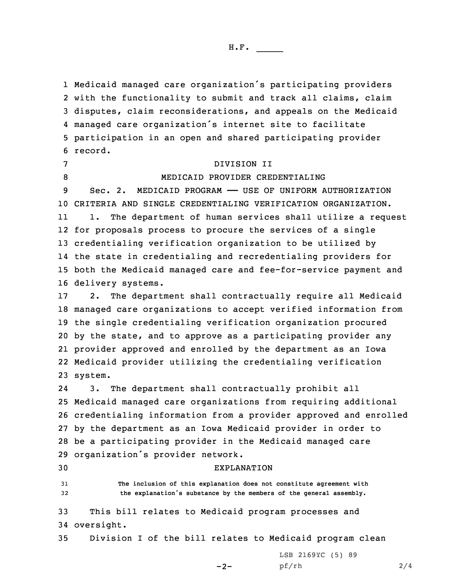Medicaid managed care organization's participating providers with the functionality to submit and track all claims, claim disputes, claim reconsiderations, and appeals on the Medicaid managed care organization's internet site to facilitate participation in an open and shared participating provider 6 record.

## 7 DIVISION II

8 MEDICAID PROVIDER CREDENTIALING

 Sec. 2. MEDICAID PROGRAM —— USE OF UNIFORM AUTHORIZATION CRITERIA AND SINGLE CREDENTIALING VERIFICATION ORGANIZATION. 11 1. The department of human services shall utilize <sup>a</sup> request for proposals process to procure the services of <sup>a</sup> single credentialing verification organization to be utilized by the state in credentialing and recredentialing providers for both the Medicaid managed care and fee-for-service payment and delivery systems.

 2. The department shall contractually require all Medicaid managed care organizations to accept verified information from the single credentialing verification organization procured by the state, and to approve as <sup>a</sup> participating provider any provider approved and enrolled by the department as an Iowa Medicaid provider utilizing the credentialing verification 23 system.

24 3. The department shall contractually prohibit all Medicaid managed care organizations from requiring additional credentialing information from <sup>a</sup> provider approved and enrolled by the department as an Iowa Medicaid provider in order to be <sup>a</sup> participating provider in the Medicaid managed care organization's provider network.

## 30 EXPLANATION

31 **The inclusion of this explanation does not constitute agreement with** <sup>32</sup> **the explanation's substance by the members of the general assembly.**

33 This bill relates to Medicaid program processes and 34 oversight.

35 Division <sup>I</sup> of the bill relates to Medicaid program clean

 $-2-$ 

LSB 2169YC (5) 89 pf/rh 2/4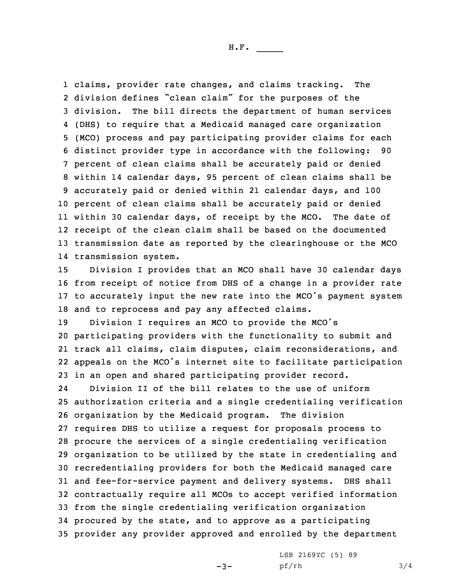claims, provider rate changes, and claims tracking. The division defines "clean claim" for the purposes of the division. The bill directs the department of human services (DHS) to require that <sup>a</sup> Medicaid managed care organization (MCO) process and pay participating provider claims for each distinct provider type in accordance with the following: 90 percent of clean claims shall be accurately paid or denied within 14 calendar days, 95 percent of clean claims shall be accurately paid or denied within 21 calendar days, and 100 percent of clean claims shall be accurately paid or denied within 30 calendar days, of receipt by the MCO. The date of receipt of the clean claim shall be based on the documented transmission date as reported by the clearinghouse or the MCO transmission system.

 Division <sup>I</sup> provides that an MCO shall have 30 calendar days from receipt of notice from DHS of <sup>a</sup> change in <sup>a</sup> provider rate to accurately input the new rate into the MCO's payment system and to reprocess and pay any affected claims.

 Division <sup>I</sup> requires an MCO to provide the MCO's participating providers with the functionality to submit and track all claims, claim disputes, claim reconsiderations, and appeals on the MCO's internet site to facilitate participation in an open and shared participating provider record.

24 Division II of the bill relates to the use of uniform authorization criteria and <sup>a</sup> single credentialing verification organization by the Medicaid program. The division requires DHS to utilize <sup>a</sup> request for proposals process to procure the services of <sup>a</sup> single credentialing verification organization to be utilized by the state in credentialing and recredentialing providers for both the Medicaid managed care and fee-for-service payment and delivery systems. DHS shall contractually require all MCOs to accept verified information from the single credentialing verification organization procured by the state, and to approve as <sup>a</sup> participating provider any provider approved and enrolled by the department

 $-3-$ 

LSB 2169YC (5) 89 pf/rh 3/4